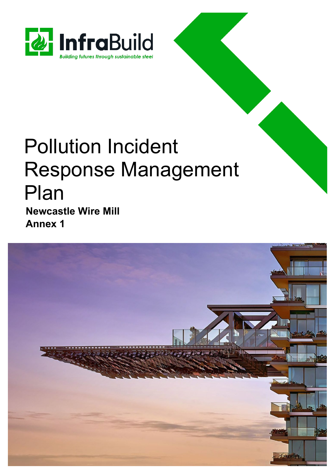

# Pollution Incident Response Management Plan **Newcastle Wire Mill**

**Annex 1**

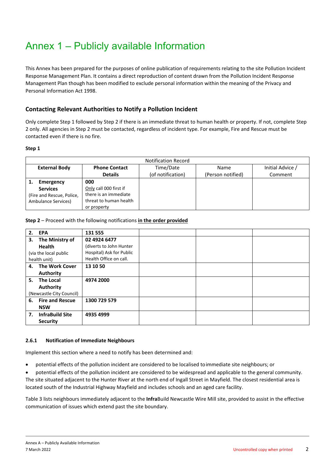# Annex 1 – Publicly available Information

This Annex has been prepared for the purposes of online publication of requirements relating to the site Pollution Incident Response Management Plan. It contains a direct reproduction of content drawn from the Pollution Incident Response Management Plan though has been modified to exclude personal information within the meaning of the Privacy and Personal Information Act 1998.

# **Contacting Relevant Authorities to Notify a Pollution Incident**

Only complete Step 1 followed by Step 2 if there is an immediate threat to human health or property. If not, complete Step 2 only. All agencies in Step 2 must be contacted, regardless of incident type. For example, Fire and Rescue must be contacted even if there is no fire.

#### **Step 1**

| <b>Notification Record</b> |                        |                   |                   |                  |  |  |
|----------------------------|------------------------|-------------------|-------------------|------------------|--|--|
| <b>External Body</b>       | <b>Phone Contact</b>   | Time/Date         | Name              | Initial Advice / |  |  |
|                            | <b>Details</b>         | (of notification) | (Person notified) | Comment          |  |  |
| <b>Emergency</b>           | 000                    |                   |                   |                  |  |  |
| <b>Services</b>            | Only call 000 first if |                   |                   |                  |  |  |
| (Fire and Rescue, Police,  | there is an immediate  |                   |                   |                  |  |  |
| Ambulance Services)        | threat to human health |                   |                   |                  |  |  |
|                            | or property            |                   |                   |                  |  |  |

#### **Step 2** – Proceed with the following notifications **in the order provided**

| 2. EPA                       | 131 555                  |  |  |
|------------------------------|--------------------------|--|--|
| The Ministry of<br>3.        | 02 4924 6477             |  |  |
| <b>Health</b>                | (diverts to John Hunter  |  |  |
| (via the local public        | Hospital) Ask for Public |  |  |
| health unit)                 | Health Office on call.   |  |  |
| <b>The Work Cover</b><br>4.  | 13 10 50                 |  |  |
| <b>Authority</b>             |                          |  |  |
| 5.<br><b>The Local</b>       | 4974 2000                |  |  |
| <b>Authority</b>             |                          |  |  |
| (Newcastle City Council)     |                          |  |  |
| 6. Fire and Rescue           | 1300 729 579             |  |  |
| <b>NSW</b>                   |                          |  |  |
| <b>InfraBuild Site</b><br>7. | 4935 4999                |  |  |
| <b>Security</b>              |                          |  |  |

#### **2.6.1 Notification of Immediate Neighbours**

Implement this section where a need to notify has been determined and:

- potential effects of the pollution incident are considered to be localised toimmediate site neighbours; or
- potential effects of the pollution incident are considered to be widespread and applicable to the general community.

The site situated adjacent to the Hunter River at the north end of Ingall Street in Mayfield. The closest residential area is located south of the Industrial Highway Mayfield and includes schools and an aged care facility.

Table 3 lists neighbours immediately adjacent to the **Infra**Build Newcastle Wire Mill site, provided to assist in the effective communication of issues which extend past the site boundary.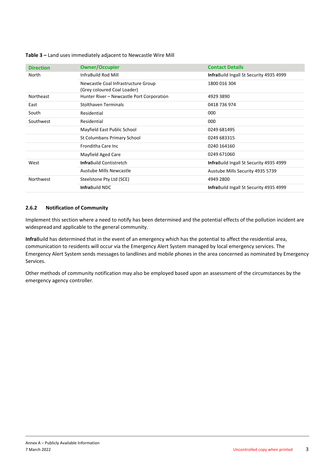#### **Table 3 –** Land uses immediately adjacent to Newcastle Wire Mill

| <b>Direction</b> | <b>Owner/Occupier</b>                                              | <b>Contact Details</b>                          |  |
|------------------|--------------------------------------------------------------------|-------------------------------------------------|--|
| North            | InfraBuild Rod Mill                                                | <b>Infra</b> Build Ingall St Security 4935 4999 |  |
|                  | Newcastle Coal Infrastructure Group<br>(Grey coloured Coal Loader) | 1800 016 304                                    |  |
| Northeast        | Hunter River - Newcastle Port Corporation                          | 4929 3890                                       |  |
| East             | <b>Stolthaven Terminals</b>                                        | 0418 736 974                                    |  |
| South            | Residential                                                        | 000                                             |  |
| Southwest        | Residential                                                        | 000                                             |  |
|                  | Mayfield East Public School                                        | 0249 681495                                     |  |
|                  | St Columbans Primary School                                        | 0249 683315                                     |  |
|                  | Fronditha Care Inc.                                                | 0240 164160                                     |  |
|                  | Mayfield Aged Care                                                 | 0249 671060                                     |  |
| West             | <b>Infra</b> Build Contistretch                                    | <b>Infra</b> Build Ingall St Security 4935 4999 |  |
|                  | Austube Mills Newcastle                                            | Austube Mills Security 4935 5739                |  |
| Northwest        | Steelstone Pty Ltd (SCE)                                           | 4949 2800                                       |  |
|                  | <b>Infra</b> Build NDC                                             | <b>Infra</b> Build Ingall St Security 4935 4999 |  |

### **2.6.2 Notification of Community**

Implement this section where a need to notify has been determined and the potential effects of the pollution incident are widespreadand applicable to the general community.

**Infra**Build has determined that in the event of an emergency which has the potential to affect the residential area, communication to residents will occur via the Emergency Alert System managed by local emergency services. The Emergency Alert System sends messages to landlines and mobile phones in the area concerned as nominated by Emergency Services.

Other methods of community notification may also be employed based upon an assessment of the circumstances by the emergency agency controller.